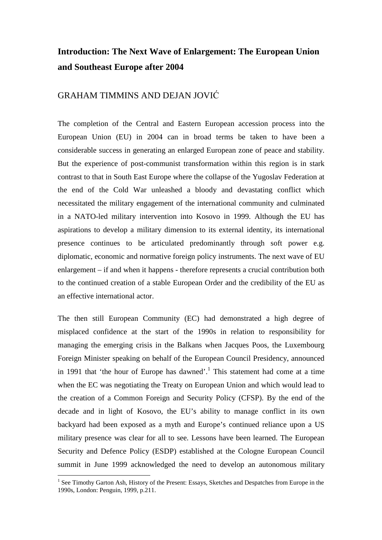## **Introduction: The Next Wave of Enlargement: The European Union and Southeast Europe after 2004**

## GRAHAM TIMMINS AND DEJAN JOVIĆ

The completion of the Central and Eastern European accession process into the European Union (EU) in 2004 can in broad terms be taken to have been a considerable success in generating an enlarged European zone of peace and stability. But the experience of post-communist transformation within this region is in stark contrast to that in South East Europe where the collapse of the Yugoslav Federation at the end of the Cold War unleashed a bloody and devastating conflict which necessitated the military engagement of the international community and culminated in a NATO-led military intervention into Kosovo in 1999. Although the EU has aspirations to develop a military dimension to its external identity, its international presence continues to be articulated predominantly through soft power e.g. diplomatic, economic and normative foreign policy instruments. The next wave of EU enlargement – if and when it happens - therefore represents a crucial contribution both to the continued creation of a stable European Order and the credibility of the EU as an effective international actor.

The then still European Community (EC) had demonstrated a high degree of misplaced confidence at the start of the 1990s in relation to responsibility for managing the emerging crisis in the Balkans when Jacques Poos, the Luxembourg Foreign Minister speaking on behalf of the European Council Presidency, announced in 1991 that 'the hour of Europe has dawned'.<sup>1</sup> This statement had come at a time when the EC was negotiating the Treaty on European Union and which would lead to the creation of a Common Foreign and Security Policy (CFSP). By the end of the decade and in light of Kosovo, the EU's ability to manage conflict in its own backyard had been exposed as a myth and Europe's continued reliance upon a US military presence was clear for all to see. Lessons have been learned. The European Security and Defence Policy (ESDP) established at the Cologne European Council summit in June 1999 acknowledged the need to develop an autonomous military

<sup>&</sup>lt;sup>1</sup> See Timothy Garton Ash, History of the Present: Essays, Sketches and Despatches from Europe in the 1990s, London: Penguin, 1999, p.211.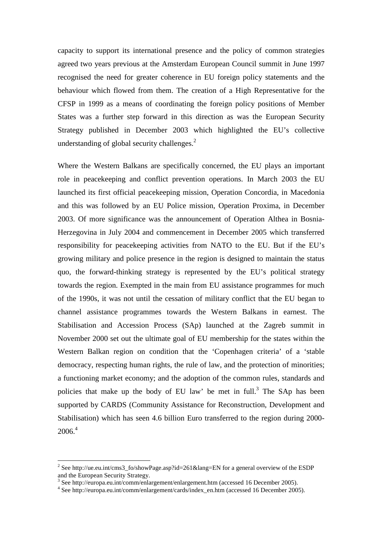capacity to support its international presence and the policy of common strategies agreed two years previous at the Amsterdam European Council summit in June 1997 recognised the need for greater coherence in EU foreign policy statements and the behaviour which flowed from them. The creation of a High Representative for the CFSP in 1999 as a means of coordinating the foreign policy positions of Member States was a further step forward in this direction as was the European Security Strategy published in December 2003 which highlighted the EU's collective understanding of global security challenges. $2$ 

Where the Western Balkans are specifically concerned, the EU plays an important role in peacekeeping and conflict prevention operations. In March 2003 the EU launched its first official peacekeeping mission, Operation Concordia, in Macedonia and this was followed by an EU Police mission, Operation Proxima, in December 2003. Of more significance was the announcement of Operation Althea in Bosnia-Herzegovina in July 2004 and commencement in December 2005 which transferred responsibility for peacekeeping activities from NATO to the EU. But if the EU's growing military and police presence in the region is designed to maintain the status quo, the forward-thinking strategy is represented by the EU's political strategy towards the region. Exempted in the main from EU assistance programmes for much of the 1990s, it was not until the cessation of military conflict that the EU began to channel assistance programmes towards the Western Balkans in earnest. The Stabilisation and Accession Process (SAp) launched at the Zagreb summit in November 2000 set out the ultimate goal of EU membership for the states within the Western Balkan region on condition that the 'Copenhagen criteria' of a 'stable democracy, respecting human rights, the rule of law, and the protection of minorities; a functioning market economy; and the adoption of the common rules, standards and policies that make up the body of EU law' be met in full.<sup>3</sup> The SAp has been supported by CARDS (Community Assistance for Reconstruction, Development and Stabilisation) which has seen 4.6 billion Euro transferred to the region during 2000-  $2006.<sup>4</sup>$ 

 $\overline{a}$ 

<sup>&</sup>lt;sup>2</sup> See http://ue.eu.int/cms3\_fo/showPage.asp?id=261&lang=EN for a general overview of the ESDP and the European Security Strategy.

<sup>&</sup>lt;sup>3</sup> See http://europa.eu.int/comm/enlargement/enlargement.htm (accessed 16 December 2005).

<sup>4</sup> See http://europa.eu.int/comm/enlargement/cards/index\_en.htm (accessed 16 December 2005).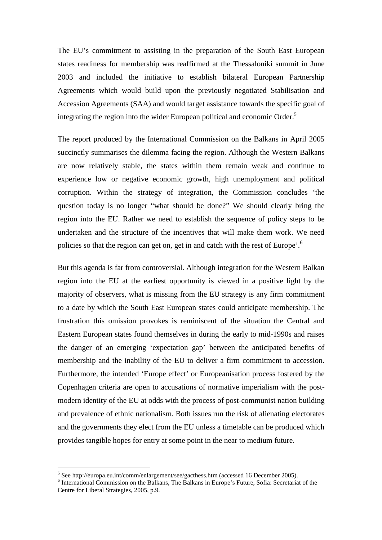The EU's commitment to assisting in the preparation of the South East European states readiness for membership was reaffirmed at the Thessaloniki summit in June 2003 and included the initiative to establish bilateral European Partnership Agreements which would build upon the previously negotiated Stabilisation and Accession Agreements (SAA) and would target assistance towards the specific goal of integrating the region into the wider European political and economic Order.<sup>5</sup>

The report produced by the International Commission on the Balkans in April 2005 succinctly summarises the dilemma facing the region. Although the Western Balkans are now relatively stable, the states within them remain weak and continue to experience low or negative economic growth, high unemployment and political corruption. Within the strategy of integration, the Commission concludes 'the question today is no longer "what should be done?" We should clearly bring the region into the EU. Rather we need to establish the sequence of policy steps to be undertaken and the structure of the incentives that will make them work. We need policies so that the region can get on, get in and catch with the rest of Europe'.<sup>6</sup>

But this agenda is far from controversial. Although integration for the Western Balkan region into the EU at the earliest opportunity is viewed in a positive light by the majority of observers, what is missing from the EU strategy is any firm commitment to a date by which the South East European states could anticipate membership. The frustration this omission provokes is reminiscent of the situation the Central and Eastern European states found themselves in during the early to mid-1990s and raises the danger of an emerging 'expectation gap' between the anticipated benefits of membership and the inability of the EU to deliver a firm commitment to accession. Furthermore, the intended 'Europe effect' or Europeanisation process fostered by the Copenhagen criteria are open to accusations of normative imperialism with the postmodern identity of the EU at odds with the process of post-communist nation building and prevalence of ethnic nationalism. Both issues run the risk of alienating electorates and the governments they elect from the EU unless a timetable can be produced which provides tangible hopes for entry at some point in the near to medium future.

 $\overline{a}$ 

<sup>&</sup>lt;sup>5</sup> See http://europa.eu.int/comm/enlargement/see/gacthess.htm (accessed 16 December 2005).

<sup>&</sup>lt;sup>6</sup> International Commission on the Balkans, The Balkans in Europe's Future, Sofia: Secretariat of the Centre for Liberal Strategies, 2005, p.9.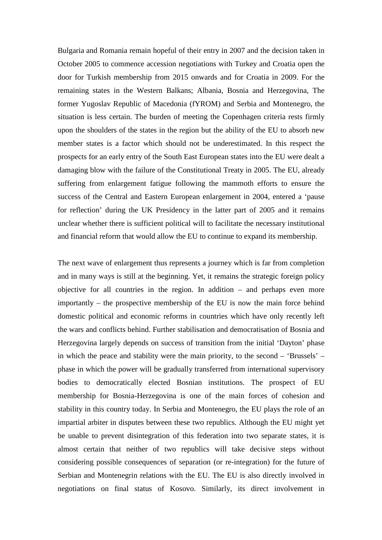Bulgaria and Romania remain hopeful of their entry in 2007 and the decision taken in October 2005 to commence accession negotiations with Turkey and Croatia open the door for Turkish membership from 2015 onwards and for Croatia in 2009. For the remaining states in the Western Balkans; Albania, Bosnia and Herzegovina, The former Yugoslav Republic of Macedonia (fYROM) and Serbia and Montenegro, the situation is less certain. The burden of meeting the Copenhagen criteria rests firmly upon the shoulders of the states in the region but the ability of the EU to absorb new member states is a factor which should not be underestimated. In this respect the prospects for an early entry of the South East European states into the EU were dealt a damaging blow with the failure of the Constitutional Treaty in 2005. The EU, already suffering from enlargement fatigue following the mammoth efforts to ensure the success of the Central and Eastern European enlargement in 2004, entered a 'pause for reflection' during the UK Presidency in the latter part of 2005 and it remains unclear whether there is sufficient political will to facilitate the necessary institutional and financial reform that would allow the EU to continue to expand its membership.

The next wave of enlargement thus represents a journey which is far from completion and in many ways is still at the beginning. Yet, it remains the strategic foreign policy objective for all countries in the region. In addition – and perhaps even more importantly – the prospective membership of the EU is now the main force behind domestic political and economic reforms in countries which have only recently left the wars and conflicts behind. Further stabilisation and democratisation of Bosnia and Herzegovina largely depends on success of transition from the initial 'Dayton' phase in which the peace and stability were the main priority, to the second – 'Brussels' – phase in which the power will be gradually transferred from international supervisory bodies to democratically elected Bosnian institutions. The prospect of EU membership for Bosnia-Herzegovina is one of the main forces of cohesion and stability in this country today. In Serbia and Montenegro, the EU plays the role of an impartial arbiter in disputes between these two republics. Although the EU might yet be unable to prevent disintegration of this federation into two separate states, it is almost certain that neither of two republics will take decisive steps without considering possible consequences of separation (or re-integration) for the future of Serbian and Montenegrin relations with the EU. The EU is also directly involved in negotiations on final status of Kosovo. Similarly, its direct involvement in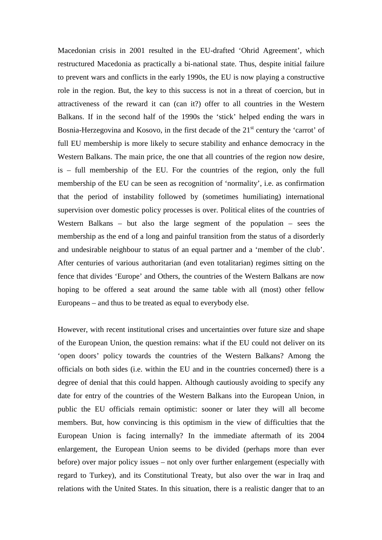Macedonian crisis in 2001 resulted in the EU-drafted 'Ohrid Agreement', which restructured Macedonia as practically a bi-national state. Thus, despite initial failure to prevent wars and conflicts in the early 1990s, the EU is now playing a constructive role in the region. But, the key to this success is not in a threat of coercion, but in attractiveness of the reward it can (can it?) offer to all countries in the Western Balkans. If in the second half of the 1990s the 'stick' helped ending the wars in Bosnia-Herzegovina and Kosovo, in the first decade of the  $21<sup>st</sup>$  century the 'carrot' of full EU membership is more likely to secure stability and enhance democracy in the Western Balkans. The main price, the one that all countries of the region now desire, is – full membership of the EU. For the countries of the region, only the full membership of the EU can be seen as recognition of 'normality', i.e. as confirmation that the period of instability followed by (sometimes humiliating) international supervision over domestic policy processes is over. Political elites of the countries of Western Balkans – but also the large segment of the population – sees the membership as the end of a long and painful transition from the status of a disorderly and undesirable neighbour to status of an equal partner and a 'member of the club'. After centuries of various authoritarian (and even totalitarian) regimes sitting on the fence that divides 'Europe' and Others, the countries of the Western Balkans are now hoping to be offered a seat around the same table with all (most) other fellow Europeans – and thus to be treated as equal to everybody else.

However, with recent institutional crises and uncertainties over future size and shape of the European Union, the question remains: what if the EU could not deliver on its 'open doors' policy towards the countries of the Western Balkans? Among the officials on both sides (i.e. within the EU and in the countries concerned) there is a degree of denial that this could happen. Although cautiously avoiding to specify any date for entry of the countries of the Western Balkans into the European Union, in public the EU officials remain optimistic: sooner or later they will all become members. But, how convincing is this optimism in the view of difficulties that the European Union is facing internally? In the immediate aftermath of its 2004 enlargement, the European Union seems to be divided (perhaps more than ever before) over major policy issues – not only over further enlargement (especially with regard to Turkey), and its Constitutional Treaty, but also over the war in Iraq and relations with the United States. In this situation, there is a realistic danger that to an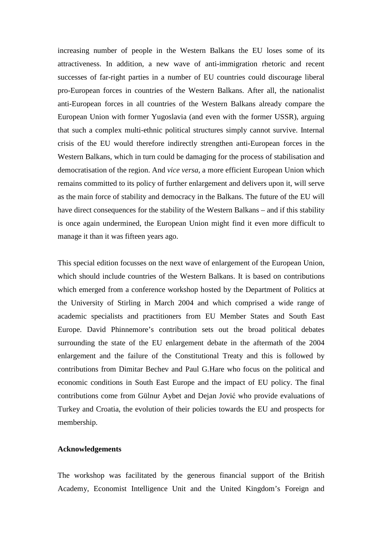increasing number of people in the Western Balkans the EU loses some of its attractiveness. In addition, a new wave of anti-immigration rhetoric and recent successes of far-right parties in a number of EU countries could discourage liberal pro-European forces in countries of the Western Balkans. After all, the nationalist anti-European forces in all countries of the Western Balkans already compare the European Union with former Yugoslavia (and even with the former USSR), arguing that such a complex multi-ethnic political structures simply cannot survive. Internal crisis of the EU would therefore indirectly strengthen anti-European forces in the Western Balkans, which in turn could be damaging for the process of stabilisation and democratisation of the region. And *vice versa*, a more efficient European Union which remains committed to its policy of further enlargement and delivers upon it, will serve as the main force of stability and democracy in the Balkans. The future of the EU will have direct consequences for the stability of the Western Balkans – and if this stability is once again undermined, the European Union might find it even more difficult to manage it than it was fifteen years ago.

This special edition focusses on the next wave of enlargement of the European Union, which should include countries of the Western Balkans. It is based on contributions which emerged from a conference workshop hosted by the Department of Politics at the University of Stirling in March 2004 and which comprised a wide range of academic specialists and practitioners from EU Member States and South East Europe. David Phinnemore's contribution sets out the broad political debates surrounding the state of the EU enlargement debate in the aftermath of the 2004 enlargement and the failure of the Constitutional Treaty and this is followed by contributions from Dimitar Bechev and Paul G.Hare who focus on the political and economic conditions in South East Europe and the impact of EU policy. The final contributions come from Gülnur Aybet and Dejan Jović who provide evaluations of Turkey and Croatia, the evolution of their policies towards the EU and prospects for membership.

## **Acknowledgements**

The workshop was facilitated by the generous financial support of the British Academy, Economist Intelligence Unit and the United Kingdom's Foreign and